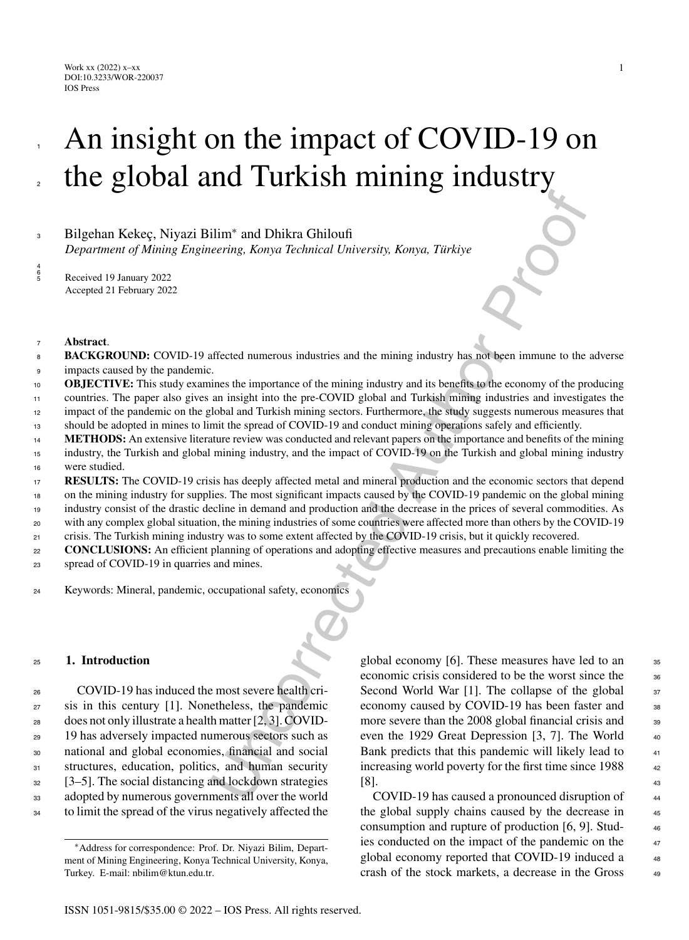#### Work xx (2022) x–xx DOI:10.3233/WOR-220037 IOS Press

# An insight on the impact of COVID-19 on the global and Turkish mining industry

# Bilgehan Kekec¸, Niyazi Bilim<sup>∗</sup> <sup>3</sup> and Dhikra Ghiloufi

*Department of Mining Engineering, Konya Technical University, Konya, Türkiye* 

<sup>5</sup> Received 19 January 2022 Accepted 21 February 2022

#### <sup>7</sup> **Abstract**.

1

2

4 6

- **BACKGROUND:** COVID-19 affected numerous industries and the mining industry has not been immune to the adverse impacts caused by the pandemic. 8 9
- **OBJECTIVE:** This study examines the importance of the mining industry and its benefits to the economy of the producing countries. The paper also gives an insight into the pre-COVID global and Turkish mining industries and investigates the 10 11
- impact of the pandemic on the global and Turkish mining sectors. Furthermore, the study suggests numerous measures that 12
- should be adopted in mines to limit the spread of COVID-19 and conduct mining operations safely and efficiently. 13
- **METHODS:** An extensive literature review was conducted and relevant papers on the importance and benefits of the mining industry, the Turkish and global mining industry, and the impact of COVID-19 on the Turkish and global mining industry were studied. 14 15 16
- **RESULTS:** The COVID-19 crisis has deeply affected metal and mineral production and the economic sectors that depend on the mining industry for supplies. The most significant impacts caused by the COVID-19 pandemic on the global mining 17 18
- industry consist of the drastic decline in demand and production and the decrease in the prices of several commodities. As 19
- with any complex global situation, the mining industries of some countries were affected more than others by the COVID-19  $20$
- crisis. The Turkish mining industry was to some extent affected by the COVID-19 crisis, but it quickly recovered.  $21$
- **CONCLUSIONS:** An efficient planning of operations and adopting effective measures and precautions enable limiting the spread of COVID-19 in quarries and mines. 22 23
- <sup>24</sup> Keywords: Mineral, pandemic, occupational safety, economics

#### <sup>25</sup> **1. Introduction**

 COVID-19 has induced the most severe health cri- sis in this century [1]. Nonetheless, the pandemic does not only illustrate a health matter [2, 3]. COVID- 19 has adversely impacted numerous sectors such as national and global economies, financial and social 31 structures, education, politics, and human security [3–5]. The social distancing and lockdown strategies adopted by numerous governments all over the world to limit the spread of the virus negatively affected the

The mean of Dhikra Chiloutin<br>
The and Dhikra Chiloutin (*Liniversity, Konya, Türkiye*<br>
2. The straight into the proof of the mining industry and its benefits to the economy of the parameters<br>
in a singlet into the pre-COVI global economy [6]. These measures have led to an <sup>35</sup> economic crisis considered to be the worst since the 36 Second World War [1]. The collapse of the global  $37$ economy caused by COVID-19 has been faster and 38 more severe than the 2008 global financial crisis and 39 even the 1929 Great Depression [3, 7]. The World 40 Bank predicts that this pandemic will likely lead to  $41$ increasing world poverty for the first time since 1988 42  $[8]$ . 43

COVID-19 has caused a pronounced disruption of <sup>44</sup> the global supply chains caused by the decrease in  $45$ consumption and rupture of production  $[6, 9]$ . Studies conducted on the impact of the pandemic on the  $47$ global economy reported that COVID-19 induced a 48 crash of the stock markets, a decrease in the Gross <sup>49</sup>

<sup>∗</sup>Address for correspondence: Prof. Dr. Niyazi Bilim, Department of Mining Engineering, Konya Technical University, Konya, Turkey. E-mail: [nbilim@ktun.edu.tr](mailto:nbilim@ktun.edu.tr).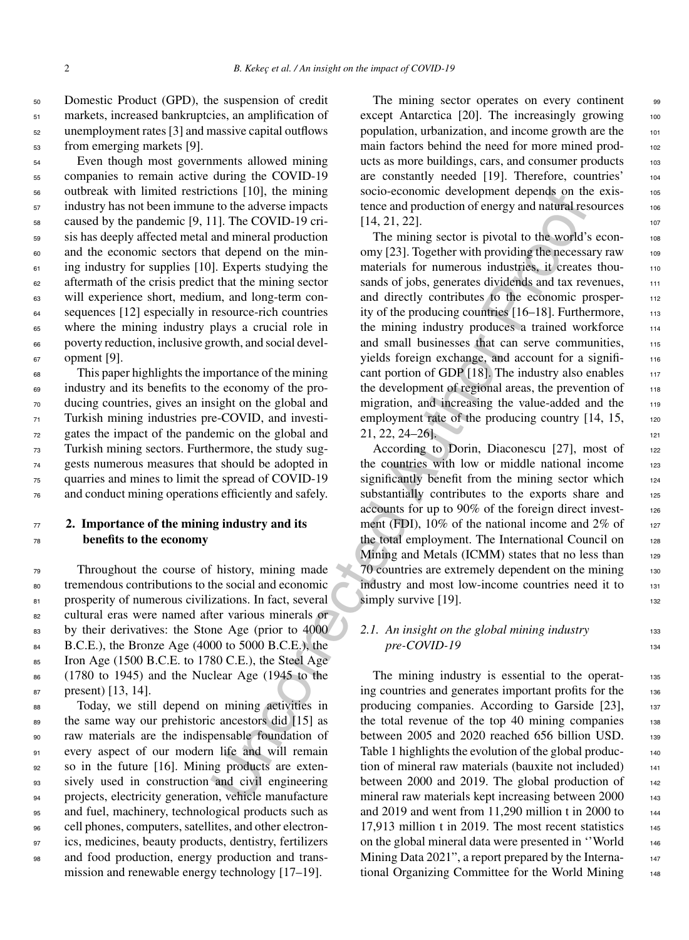Domestic Product (GPD), the suspension of credit markets, increased bankruptcies, an amplification of unemployment rates [3] and massive capital outflows from emerging markets [9].

 Even though most governments allowed mining companies to remain active during the COVID-19 outbreak with limited restrictions [10], the mining industry has not been immune to the adverse impacts caused by the pandemic [9, 11]. The COVID-19 cri- sis has deeply affected metal and mineral production and the economic sectors that depend on the min-<sup>61</sup> ing industry for supplies [10]. Experts studying the aftermath of the crisis predict that the mining sector will experience short, medium, and long-term con-<sup>64</sup> sequences [12] especially in resource-rich countries where the mining industry plays a crucial role in poverty reduction, inclusive growth, and social devel-opment [9].

 This paper highlights the importance of the mining industry and its benefits to the economy of the pro- ducing countries, gives an insight on the global and Turkish mining industries pre-COVID, and investi- gates the impact of the pandemic on the global and Turkish mining sectors. Furthermore, the study sug- gests numerous measures that should be adopted in quarries and mines to limit the spread of COVID-19 and conduct mining operations efficiently and safely.

# <sup>77</sup> **2. Importance of the mining industry and its** <sup>78</sup> **benefits to the economy**

<sup>79</sup> Throughout the course of history, mining made <sup>80</sup> tremendous contributions to the social and economic 81 prosperity of numerous civilizations. In fact, several <sup>82</sup> cultural eras were named after various minerals or 83 by their derivatives: the Stone Age (prior to 4000 84 B.C.E.), the Bronze Age (4000 to 5000 B.C.E.), the  $\epsilon$ <sub>85</sub> Iron Age (1500 B.C.E. to 1780 C.E.), the Steel Age <sup>86</sup> (1780 to 1945) and the Nuclear Age (1945 to the <sup>87</sup> present) [13, 14].

 Today, we still depend on mining activities in the same way our prehistoric ancestors did [15] as raw materials are the indispensable foundation of every aspect of our modern life and will remain 92 so in the future [16]. Mining products are exten- sively used in construction and civil engineering projects, electricity generation, vehicle manufacture and fuel, machinery, technological products such as cell phones, computers, satellites, and other electron- ics, medicines, beauty products, dentistry, fertilizers and food production, energy production and transmission and renewable energy technology [17–19].

The mining sector operates on every continent 99 except Antarctica  $[20]$ . The increasingly growing  $100$ population, urbanization, and income growth are the <sup>101</sup> main factors behind the need for more mined products as more buildings, cars, and consumer products 103 are constantly needed [19]. Therefore, countries' <sup>104</sup> socio-economic development depends on the exis-<br>105 tence and production of energy and natural resources 106  $[14, 21, 22].$ 

solutions [10], the mumps soco-economic development depends on the tothe development of the control in a minimal solution of energy and natural grantine to the development of the control in a control in a control in the c The mining sector is pivotal to the world's economy [23]. Together with providing the necessary raw  $108$ materials for numerous industries, it creates thousands of jobs, generates dividends and tax revenues, 111 and directly contributes to the economic prosperity of the producing countries  $[16–18]$ . Furthermore,  $113$ the mining industry produces a trained workforce  $114$ and small businesses that can serve communities, 115 yields foreign exchange, and account for a signifi-<br>116 cant portion of GDP  $[18]$ . The industry also enables  $117$ the development of regional areas, the prevention of  $118$ migration, and increasing the value-added and the 119 employment rate of the producing country  $[14, 15,$  120 21, 22, 24–26]. <sup>121</sup>

According to Dorin, Diaconescu [27], most of 122 the countries with low or middle national income  $123$ significantly benefit from the mining sector which 124 substantially contributes to the exports share and 125 accounts for up to 90% of the foreign direct invest- <sup>126</sup> ment (FDI),  $10\%$  of the national income and  $2\%$  of 127 the total employment. The International Council on 128 Mining and Metals (ICMM) states that no less than 129 70 countries are extremely dependent on the mining 130 industry and most low-income countries need it to 131 simply survive [19].

#### 2.1. An insight on the global mining industry 133 *pre-COVID-19* 134

The mining industry is essential to the operating countries and generates important profits for the 136 producing companies. According to Garside [23], 137 the total revenue of the top 40 mining companies  $138$ between 2005 and 2020 reached 656 billion USD. 139 Table 1 highlights the evolution of the global production of mineral raw materials (bauxite not included) 141 between 2000 and 2019. The global production of  $_{142}$ mineral raw materials kept increasing between 2000 143 and 2019 and went from 11,290 million t in 2000 to  $_{144}$ 17,913 million t in 2019. The most recent statistics  $145$ on the global mineral data were presented in ''World <sup>146</sup> Mining Data 2021", a report prepared by the International Organizing Committee for the World Mining 148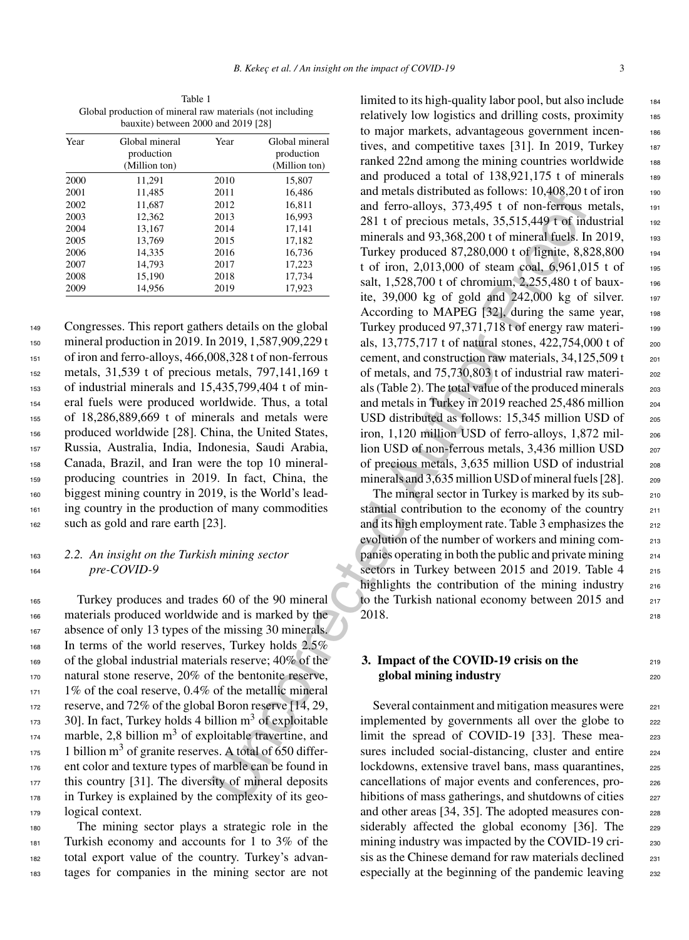Table 1 Global production of mineral raw materials (not including bauxite) between 2000 and 2019 [28]

| Year | Global mineral | Year | Global mineral |
|------|----------------|------|----------------|
|      | production     |      | production     |
|      | (Million ton)  |      | (Million ton)  |
| 2000 | 11.291         | 2010 | 15.807         |
| 2001 | 11,485         | 2011 | 16,486         |
| 2002 | 11,687         | 2012 | 16,811         |
| 2003 | 12.362         | 2013 | 16.993         |
| 2004 | 13,167         | 2014 | 17,141         |
| 2005 | 13.769         | 2015 | 17,182         |
| 2006 | 14,335         | 2016 | 16,736         |
| 2007 | 14,793         | 2017 | 17,223         |
| 2008 | 15,190         | 2018 | 17,734         |
| 2009 | 14.956         | 2019 | 17.923         |

 Congresses. This report gathers details on the global mineral production in 2019. In 2019, 1,587,909,229 t of iron and ferro-alloys, 466,008,328 t of non-ferrous metals, 31,539 t of precious metals, 797,141,169 t of industrial minerals and 15,435,799,404 t of min- eral fuels were produced worldwide. Thus, a total of 18,286,889,669 t of minerals and metals were produced worldwide [28]. China, the United States, Russia, Australia, India, Indonesia, Saudi Arabia, Canada, Brazil, and Iran were the top 10 mineral- producing countries in 2019. In fact, China, the biggest mining country in 2019, is the World's lead- ing country in the production of many commodities such as gold and rare earth [23].

## <sup>163</sup> *2.2. An insight on the Turkish mining sector* <sup>164</sup> *pre-COVID-9*

 Turkey produces and trades 60 of the 90 mineral materials produced worldwide and is marked by the absence of only 13 types of the missing 30 minerals. In terms of the world reserves, Turkey holds 2.5% of the global industrial materials reserve; 40% of the natural stone reserve, 20% of the bentonite reserve, 1% of the coal reserve, 0.4% of the metallic mineral reserve, and 72% of the global Boron reserve [14, 29, ]. In fact, Turkey holds 4 billion  $m<sup>3</sup>$  of exploitable  $m<sub>174</sub>$  marble, 2,8 billion  $m<sup>3</sup>$  of exploitable travertine, and  $11_{175}$  1 billion m<sup>3</sup> of granite reserves. A total of 650 differ- ent color and texture types of marble can be found in this country [31]. The diversity of mineral deposits in Turkey is explained by the complexity of its geo-logical context.

 The mining sector plays a strategic role in the Turkish economy and accounts for 1 to 3% of the total export value of the country. Turkey's advan-tages for companies in the mining sector are not

2613<br>
2011 16,486<br>
2012 16,811 and ferro-alloys, 373,495 t of non-ferrous<br>
2012 16,811 and ferro-alloys, 373,495 t of non-ferrous<br>
2014 17,141<br>
2014 17,141<br>
2016 17,142<br>
2016 17,142<br>
2016 17,142<br>
2016 17,242<br>
2016 17,242<br> limited to its high-quality labor pool, but also include 184 relatively low logistics and drilling costs, proximity 185 to major markets, advantageous government incen- <sup>186</sup> tives, and competitive taxes [31]. In 2019, Turkey 187 ranked 22nd among the mining countries worldwide 188 and produced a total of  $138,921,175$  t of minerals 189 and metals distributed as follows:  $10,408,20$  t of iron  $190$ and ferro-alloys, 373,495 t of non-ferrous metals, 191 281 t of precious metals,  $35,515,449$  t of industrial 192 minerals and  $93,368,200$  t of mineral fuels. In 2019,  $193$ Turkey produced 87,280,000 t of lignite, 8,828,800 194 t of iron, 2,013,000 of steam coal, 6,961,015 t of 195 salt, 1,528,700 t of chromium, 2,255,480 t of bauxite,  $39,000 \text{ kg}$  of gold and  $242,000 \text{ kg}$  of silver. 197 According to MAPEG  $[32]$ , during the same year, 198 Turkey produced 97,371,718 t of energy raw materials, 13,775,717 t of natural stones, 422,754,000 t of 200 cement, and construction raw materials,  $34,125,509$  t  $_{201}$ of metals, and 75,730,803 t of industrial raw materi- <sup>202</sup> als (Table 2). The total value of the produced minerals  $203$ and metals in Turkey in 2019 reached 25,486 million <sup>204</sup> USD distributed as follows: 15,345 million USD of 205 iron, 1,120 million USD of ferro-alloys, 1,872 mil- <sup>206</sup> lion USD of non-ferrous metals, 3,436 million USD 207 of precious metals, 3,635 million USD of industrial <sup>208</sup> minerals and 3,635 million USD of mineral fuels [28]. 209

The mineral sector in Turkey is marked by its sub-<br>210 stantial contribution to the economy of the country 211 and its high employment rate. Table 3 emphasizes the 212 evolution of the number of workers and mining companies operating in both the public and private mining <sup>214</sup> sectors in Turkey between 2015 and 2019. Table 4 215 highlights the contribution of the mining industry  $216$ to the Turkish national economy between 2015 and 217  $2018.$  218

#### **3. Impact of the COVID-19 crisis on the global mining industry** 220

Several containment and mitigation measures were 221 implemented by governments all over the globe to 222 limit the spread of COVID-19 [33]. These mea- 223 sures included social-distancing, cluster and entire 224 lockdowns, extensive travel bans, mass quarantines, 225 cancellations of major events and conferences, prohibitions of mass gatherings, and shutdowns of cities 227 and other areas [34, 35]. The adopted measures considerably affected the global economy [36]. The 229 mining industry was impacted by the COVID-19 cri-<br>230 sis as the Chinese demand for raw materials declined <sub>231</sub> especially at the beginning of the pandemic leaving 232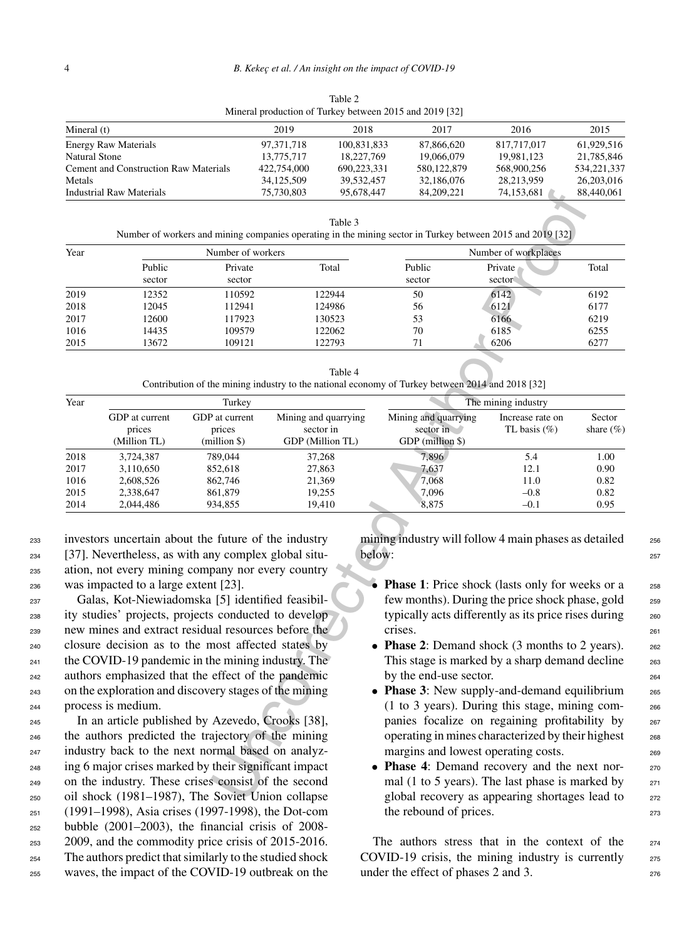| Mineral production of Turkey between 2015 and 2019 [32] |             |             |             |             |               |  |
|---------------------------------------------------------|-------------|-------------|-------------|-------------|---------------|--|
| Mineral $(t)$                                           | 2019        | 2018        | 2017        | 2016        | 2015          |  |
| <b>Energy Raw Materials</b>                             | 97.371.718  | 100,831,833 | 87,866,620  | 817,717,017 | 61.929.516    |  |
| Natural Stone                                           | 13,775,717  | 18.227.769  | 19,066,079  | 19.981.123  | 21.785.846    |  |
| Cement and Construction Raw Materials                   | 422,754,000 | 690.223.331 | 580,122,879 | 568,900,256 | 534, 221, 337 |  |
| Metals                                                  | 34,125,509  | 39.532.457  | 32,186,076  | 28.213.959  | 26,203,016    |  |
| Industrial Raw Materials                                | 75,730,803  | 95,678,447  | 84,209,221  | 74,153,681  | 88,440,061    |  |

Table 2

| anie |
|------|
|------|

| Year | Number of workers |                   |        | Number of workplaces |                   |       |
|------|-------------------|-------------------|--------|----------------------|-------------------|-------|
|      | Public<br>sector  | Private<br>sector | Total  | Public<br>sector     | Private<br>sector | Total |
| 2019 | 12352             | 110592            | 122944 | 50                   | 6142              | 6192  |
| 2018 | 12045             | 112941            | 124986 | 56                   | 6121              | 6177  |
| 2017 | 12600             | 117923            | 130523 | 53                   | 6166              | 6219  |
| 1016 | 14435             | 109579            | 122062 | 70                   | 6185              | 6255  |
| 2015 | 13672             | 109121            | 122793 |                      | 6206              | 6277  |

Table 4 Contribution of the mining industry to the national economy of Turkey between 2014 and 2018 [32]

|                                                                             | <b>Industrial Raw Materials</b>                    |                                                       | 75,730,803           | 95,678,447                                                                                     | 84,209,221                                                                                         | 74,153,681                                                                                                 | 88,440,061   |
|-----------------------------------------------------------------------------|----------------------------------------------------|-------------------------------------------------------|----------------------|------------------------------------------------------------------------------------------------|----------------------------------------------------------------------------------------------------|------------------------------------------------------------------------------------------------------------|--------------|
|                                                                             |                                                    |                                                       |                      |                                                                                                |                                                                                                    |                                                                                                            |              |
|                                                                             |                                                    |                                                       |                      | Table 3                                                                                        |                                                                                                    | Number of workers and mining companies operating in the mining sector in Turkey between 2015 and 2019 [32] |              |
| Year                                                                        |                                                    | Number of workers                                     |                      |                                                                                                |                                                                                                    | Number of workplaces                                                                                       |              |
|                                                                             | Public                                             | Private                                               |                      | Total                                                                                          | Public                                                                                             | Private                                                                                                    | Total        |
|                                                                             | sector                                             | sector                                                |                      |                                                                                                | sector                                                                                             | sector                                                                                                     |              |
| 2019                                                                        | 12352                                              | 110592                                                |                      | 122944                                                                                         | 50                                                                                                 | 6142                                                                                                       | 6192         |
| 2018                                                                        | 12045                                              | 112941                                                |                      | 124986                                                                                         | 56                                                                                                 | 6121                                                                                                       | 6177         |
| 2017<br>1016                                                                | 12600<br>14435                                     | 117923<br>109579                                      |                      | 130523<br>122062                                                                               | 53<br>70                                                                                           | 6166<br>6185                                                                                               | 6219<br>6255 |
| 2015                                                                        | 13672                                              | 109121                                                |                      | 122793                                                                                         | 71                                                                                                 | 6206                                                                                                       | 6277         |
|                                                                             |                                                    |                                                       |                      |                                                                                                |                                                                                                    |                                                                                                            |              |
|                                                                             |                                                    |                                                       |                      | Table 4                                                                                        |                                                                                                    |                                                                                                            |              |
|                                                                             |                                                    |                                                       |                      |                                                                                                | Contribution of the mining industry to the national economy of Turkey between 2014 and 2018 [32]   |                                                                                                            |              |
| Year                                                                        |                                                    | Turkey                                                |                      |                                                                                                |                                                                                                    | The mining industry                                                                                        |              |
|                                                                             | GDP at current                                     | GDP at current                                        | Mining and quarrying |                                                                                                | Mining and quarrying                                                                               | Increase rate on                                                                                           | Sector       |
|                                                                             | prices                                             | prices                                                | sector in            |                                                                                                | sector in                                                                                          | TL basis $(\%)$                                                                                            | share (%)    |
|                                                                             | (Million TL)                                       | (million \$)                                          | GDP (Million TL)     |                                                                                                | GDP (million \$)                                                                                   |                                                                                                            |              |
| 2018                                                                        | 3,724,387                                          | 789,044                                               | 37,268               |                                                                                                | 7,896                                                                                              | 5.4                                                                                                        | 1.00         |
| 2017                                                                        | 3,110,650                                          | 852,618                                               | 27,863               |                                                                                                | 7,637                                                                                              | 12.1                                                                                                       | 0.90         |
| 1016                                                                        | 2,608,526                                          | 862,746                                               | 21,369               |                                                                                                | 7,068                                                                                              | 11.0                                                                                                       | 0.82         |
| 2015<br>2014                                                                | 2,338,647<br>2,044,486                             | 861,879<br>934,855                                    |                      | 19,255<br>19,410                                                                               | 7,096<br>8,875                                                                                     | $-0.8$<br>$-0.1$                                                                                           | 0.82<br>0.95 |
|                                                                             |                                                    |                                                       |                      |                                                                                                |                                                                                                    |                                                                                                            |              |
|                                                                             |                                                    |                                                       |                      |                                                                                                |                                                                                                    |                                                                                                            |              |
|                                                                             |                                                    | investors uncertain about the future of the industry  |                      |                                                                                                |                                                                                                    | mining industry will follow 4 main phases as detailed                                                      |              |
|                                                                             |                                                    | [37]. Nevertheless, as with any complex global situ-  |                      | below:                                                                                         |                                                                                                    |                                                                                                            |              |
|                                                                             |                                                    | ation, not every mining company nor every country     |                      |                                                                                                |                                                                                                    |                                                                                                            |              |
|                                                                             | was impacted to a large extent [23].               |                                                       |                      |                                                                                                |                                                                                                    | <b>Phase 1:</b> Price shock (lasts only for weeks or a                                                     |              |
|                                                                             |                                                    | Galas, Kot-Niewiadomska [5] identified feasibil-      |                      |                                                                                                |                                                                                                    | few months). During the price shock phase, gold                                                            |              |
|                                                                             |                                                    | ity studies' projects, projects conducted to develop  |                      |                                                                                                |                                                                                                    | typically acts differently as its price rises during                                                       |              |
|                                                                             |                                                    | new mines and extract residual resources before the   |                      |                                                                                                | crises.                                                                                            |                                                                                                            |              |
|                                                                             |                                                    | closure decision as to the most affected states by    |                      |                                                                                                |                                                                                                    | • Phase 2: Demand shock (3 months to 2 years).                                                             |              |
|                                                                             |                                                    | the COVID-19 pandemic in the mining industry. The     |                      |                                                                                                |                                                                                                    | This stage is marked by a sharp demand decline                                                             |              |
|                                                                             |                                                    | authors emphasized that the effect of the pandemic    |                      |                                                                                                | by the end-use sector.                                                                             |                                                                                                            |              |
|                                                                             |                                                    |                                                       |                      |                                                                                                |                                                                                                    |                                                                                                            |              |
| on the exploration and discovery stages of the mining<br>process is medium. |                                                    |                                                       |                      | • Phase 3: New supply-and-demand equilibrium<br>(1 to 3 years). During this stage, mining com- |                                                                                                    |                                                                                                            |              |
| In an article published by Azevedo, Crooks [38],                            |                                                    |                                                       |                      |                                                                                                |                                                                                                    |                                                                                                            |              |
|                                                                             | the authors predicted the trajectory of the mining |                                                       |                      |                                                                                                | panies focalize on regaining profitability by<br>operating in mines characterized by their highest |                                                                                                            |              |
|                                                                             |                                                    |                                                       |                      |                                                                                                |                                                                                                    |                                                                                                            |              |
|                                                                             |                                                    | industry back to the next normal based on analyz-     |                      |                                                                                                | margins and lowest operating costs.                                                                |                                                                                                            |              |
|                                                                             |                                                    | ing 6 major crises marked by their significant impact |                      |                                                                                                |                                                                                                    | • Phase 4: Demand recovery and the next nor-                                                               |              |
|                                                                             |                                                    | on the industry. These crises consist of the second   |                      |                                                                                                |                                                                                                    | mal (1 to 5 years). The last phase is marked by                                                            |              |
|                                                                             |                                                    | oil shock (1981–1987), The Soviet Union collapse      |                      |                                                                                                |                                                                                                    | global recovery as appearing shortages lead to                                                             |              |

 investors uncertain about the future of the industry [37]. Nevertheless, as with any complex global situ- ation, not every mining company nor every country was impacted to a large extent [23].

 Galas, Kot-Niewiadomska [5] identified feasibil- ity studies' projects, projects conducted to develop new mines and extract residual resources before the closure decision as to the most affected states by the COVID-19 pandemic in the mining industry. The authors emphasized that the effect of the pandemic on the exploration and discovery stages of the mining process is medium.

 In an article published by Azevedo, Crooks [38], the authors predicted the trajectory of the mining industry back to the next normal based on analyz- ing 6 major crises marked by their significant impact on the industry. These crises consist of the second oil shock (1981–1987), The Soviet Union collapse (1991–1998), Asia crises (1997-1998), the Dot-com bubble (2001–2003), the financial crisis of 2008- 2009, and the commodity price crisis of 2015-2016. The authors predict that similarly to the studied shock waves, the impact of the COVID-19 outbreak on the mining industry will follow 4 main phases as detailed  $256$ below: 257

- **Phase 1:** Price shock (lasts only for weeks or a 258 few months). During the price shock phase, gold 259 typically acts differently as its price rises during 260 crises. 261
- **Phase 2**: Demand shock (3 months to 2 years). 262 This stage is marked by a sharp demand decline 263 by the end-use sector.  $264$
- **Phase 3**: New supply-and-demand equilibrium 265 (1 to 3 years). During this stage, mining com- <sup>266</sup> panies focalize on regaining profitability by <sup>267</sup> operating in mines characterized by their highest <sup>268</sup> margins and lowest operating costs.
- **Phase 4**: Demand recovery and the next normal (1 to 5 years). The last phase is marked by  $271$ global recovery as appearing shortages lead to 272 the rebound of prices. 273

The authors stress that in the context of the  $274$ COVID-19 crisis, the mining industry is currently  $275$ under the effect of phases  $2$  and  $3$ .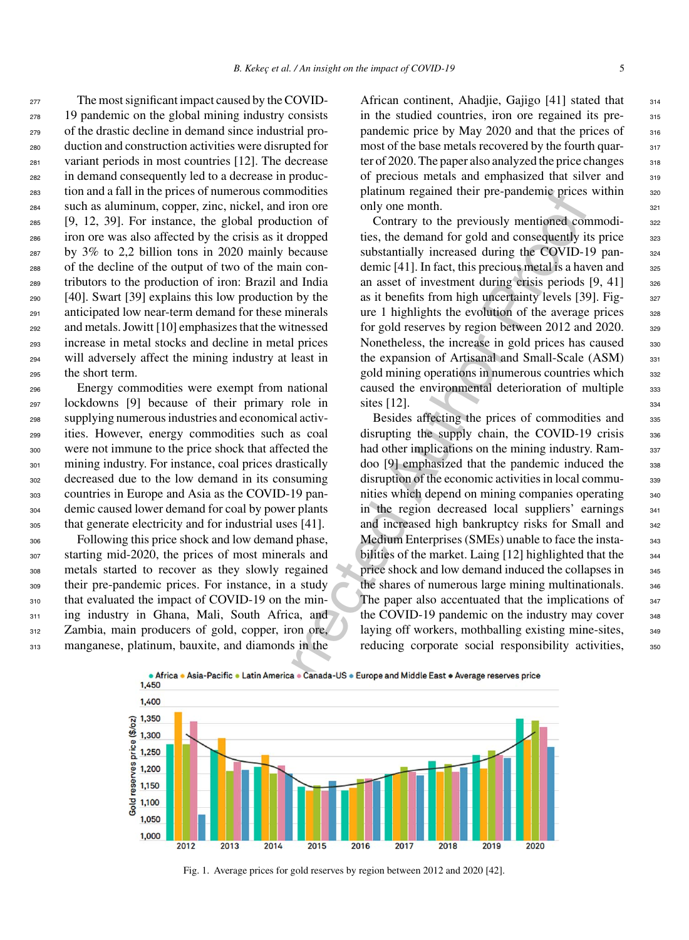The most significant impact caused by the COVID- 19 pandemic on the global mining industry consists of the drastic decline in demand since industrial pro- duction and construction activities were disrupted for variant periods in most countries [12]. The decrease in demand consequently led to a decrease in produc- tion and a fall in the prices of numerous commodities such as aluminum, copper, zinc, nickel, and iron ore [9, 12, 39]. For instance, the global production of iron ore was also affected by the crisis as it dropped by 3% to 2,2 billion tons in 2020 mainly because of the decline of the output of two of the main con- tributors to the production of iron: Brazil and India [40]. Swart [39] explains this low production by the anticipated low near-term demand for these minerals and metals. Jowitt [10] emphasizes that the witnessed increase in metal stocks and decline in metal prices will adversely affect the mining industry at least in the short term.

 Energy commodities were exempt from national lockdowns [9] because of their primary role in supplying numerous industries and economical activ- ities. However, energy commodities such as coal were not immune to the price shock that affected the mining industry. For instance, coal prices drastically decreased due to the low demand in its consuming countries in Europe and Asia as the COVID-19 pan- demic caused lower demand for coal by power plants that generate electricity and for industrial uses [41].

 Following this price shock and low demand phase, starting mid-2020, the prices of most minerals and metals started to recover as they slowly regained their pre-pandemic prices. For instance, in a study 310 that evaluated the impact of COVID-19 on the min-311 ing industry in Ghana, Mali, South Africa, and Zambia, main producers of gold, copper, iron ore, manganese, platinum, bauxite, and diamonds in the

African continent, Ahadjie, Gajigo  $[41]$  stated that  $314$ in the studied countries, iron ore regained its pre-<br>315 pandemic price by May 2020 and that the prices of 316 most of the base metals recovered by the fourth quar-<br>317 ter of 2020. The paper also analyzed the price changes  $318$ of precious metals and emphasized that silver and <sup>319</sup> platinum regained their pre-pandemic prices within 320 only one month. 321

Contrary to the previously mentioned commodi-<br>322 ties, the demand for gold and consequently its price 323 substantially increased during the COVID-19 pan-<br><sub>324</sub> demic  $[41]$ . In fact, this precious metal is a haven and  $325$ an asset of investment during crisis periods  $[9, 41]$  326 as it benefits from high uncertainty levels [39]. Fig- 327 ure 1 highlights the evolution of the average prices  $328$ for gold reserves by region between  $2012$  and  $2020$ .  $\frac{329}{20}$ Nonetheless, the increase in gold prices has caused 330 the expansion of Artisanal and Small-Scale  $(ASM)$  331 gold mining operations in numerous countries which  $332$ caused the environmental deterioration of multiple 333 sites  $[12]$ .  $334$ 

numerous commodities<br>
platium regande the platibal platinum regandement the global production of<br>
contrary to the previously mentioned corrected<br>
e global production of Contrary to the previously mentioned corrected<br>
the c Besides affecting the prices of commodities and 335 disrupting the supply chain, the COVID-19 crisis  $336$ had other implications on the mining industry. Ram-<br>337 doo [9] emphasized that the pandemic induced the 338 disruption of the economic activities in local commu-<br>339 nities which depend on mining companies operating  $_{340}$ in the region decreased local suppliers' earnings 341 and increased high bankruptcy risks for Small and 342 Medium Enterprises (SMEs) unable to face the insta-<br>343 bilities of the market. Laing [12] highlighted that the 344 price shock and low demand induced the collapses in 345 the shares of numerous large mining multinationals. 346 The paper also accentuated that the implications of  $347$ the COVID-19 pandemic on the industry may cover  $_{348}$ laying off workers, mothballing existing mine-sites,  $349$ reducing corporate social responsibility activities,  $350$ 



Fig. 1. Average prices for gold reserves by region between 2012 and 2020 [42].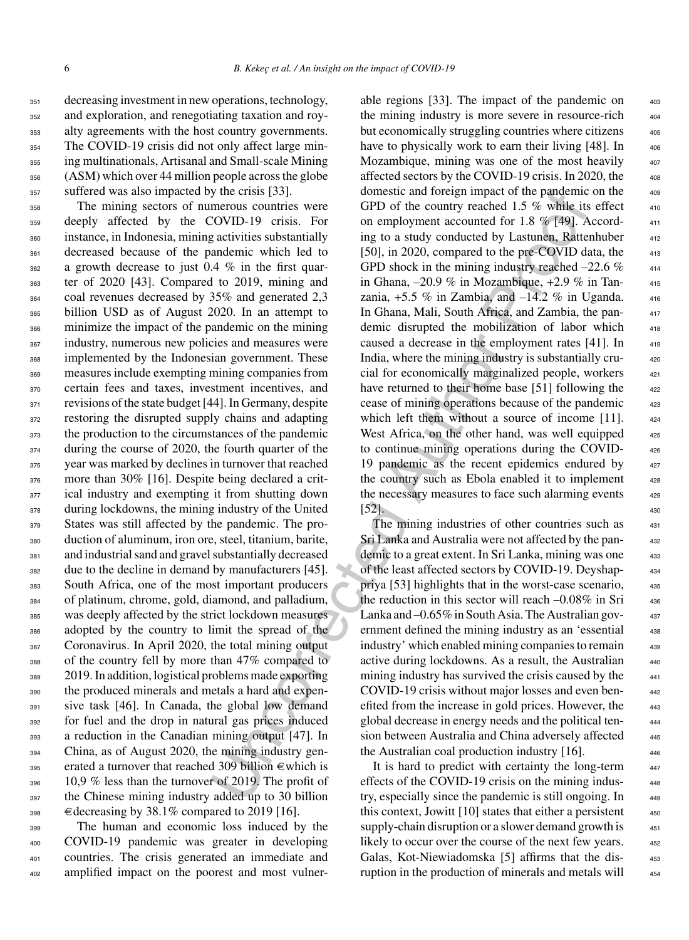decreasing investment in new operations, technology, and exploration, and renegotiating taxation and roy- alty agreements with the host country governments. The COVID-19 crisis did not only affect large min- ing multinationals, Artisanal and Small-scale Mining (ASM) which over 44 million people across the globe suffered was also impacted by the crisis [33].

 The mining sectors of numerous countries were deeply affected by the COVID-19 crisis. For instance, in Indonesia, mining activities substantially decreased because of the pandemic which led to a growth decrease to just 0.4 % in the first quar- ter of 2020 [43]. Compared to 2019, mining and coal revenues decreased by 35% and generated 2,3 billion USD as of August 2020. In an attempt to minimize the impact of the pandemic on the mining industry, numerous new policies and measures were 368 implemented by the Indonesian government. These measures include exempting mining companies from certain fees and taxes, investment incentives, and revisions of the state budget [44]. In Germany, despite restoring the disrupted supply chains and adapting 373 the production to the circumstances of the pandemic 374 during the course of 2020, the fourth quarter of the year was marked by declines in turnover that reached 376 more than 30% [16]. Despite being declared a crit- ical industry and exempting it from shutting down 378 during lockdowns, the mining industry of the United States was still affected by the pandemic. The pro- duction of aluminum, iron ore, steel, titanium, barite, and industrial sand and gravel substantially decreased due to the decline in demand by manufacturers [45]. South Africa, one of the most important producers of platinum, chrome, gold, diamond, and palladium, was deeply affected by the strict lockdown measures adopted by the country to limit the spread of the Coronavirus. In April 2020, the total mining output of the country fell by more than 47% compared to 2019. In addition, logistical problems made exporting the produced minerals and metals a hard and expen- sive task [46]. In Canada, the global low demand for fuel and the drop in natural gas prices induced a reduction in the Canadian mining output [47]. In China, as of August 2020, the mining industry gen-395 erated a turnover that reached 309 billion  $\epsilon$  which is 10,9 % less than the turnover of 2019. The profit of the Chinese mining industry added up to 30 billion  $_{398}$   $\in$  decreasing by 38.1% compared to 2019 [16].

 The human and economic loss induced by the COVID-19 pandemic was greater in developing countries. The crisis generated an immediate and amplified impact on the poorest and most vulner-

y the crists [331].<br>
menots countries were GPD of the country readed 1.5 % while in<br>
errors countries were GPD of the country readed 1.5 % while in<br>
a activities substantially ing to a study conducted by Lastmean, Ratten<br> able regions  $[33]$ . The impact of the pandemic on the mining industry is more severe in resource-rich but economically struggling countries where citizens have to physically work to earn their living  $[48]$ . In Mozambique, mining was one of the most heavily affected sectors by the COVID-19 crisis. In 2020, the domestic and foreign impact of the pandemic on the 409 GPD of the country reached 1.5  $\%$  while its effect on employment accounted for 1.8 % [49]. According to a study conducted by Lastunen, Rattenhuber 412 [50], in 2020, compared to the pre-COVID data, the GPD shock in the mining industry reached  $-22.6\%$ in Ghana,  $-20.9\%$  in Mozambique,  $+2.9\%$  in Tanzania,  $+5.5\%$  in Zambia, and  $-14.2\%$  in Uganda. In Ghana, Mali, South Africa, and Zambia, the pan- <sup>417</sup> demic disrupted the mobilization of labor which 418 caused a decrease in the employment rates  $[41]$ . In India, where the mining industry is substantially crucial for economically marginalized people, workers have returned to their home base [51] following the cease of mining operations because of the pandemic which left them without a source of income  $[11]$ . West Africa, on the other hand, was well equipped to continue mining operations during the COVID- <sup>426</sup> 19 pandemic as the recent epidemics endured by the country such as Ebola enabled it to implement the necessary measures to face such alarming events [52]. 430

The mining industries of other countries such as Sri Lanka and Australia were not affected by the pandemic to a great extent. In Sri Lanka, mining was one of the least affected sectors by COVID-19. Deyshap- <sup>434</sup> priya [53] highlights that in the worst-case scenario, <sup>435</sup> the reduction in this sector will reach  $-0.08\%$  in Sri  $_{436}$ Lanka and  $-0.65\%$  in South Asia. The Australian government defined the mining industry as an 'essential 438 industry' which enabled mining companies to remain 439 active during lockdowns. As a result, the Australian  $_{440}$ mining industry has survived the crisis caused by the COVID-19 crisis without major losses and even ben- <sup>442</sup> efited from the increase in gold prices. However, the global decrease in energy needs and the political ten- <sup>444</sup> sion between Australia and China adversely affected 445 the Australian coal production industry  $[16]$ .

It is hard to predict with certainty the long-term effects of the COVID-19 crisis on the mining industry, especially since the pandemic is still ongoing. In this context, Jowitt  $[10]$  states that either a persistent supply-chain disruption or a slower demand growth is likely to occur over the course of the next few years. Galas, Kot-Niewiadomska [5] affirms that the dis-<br>453 ruption in the production of minerals and metals will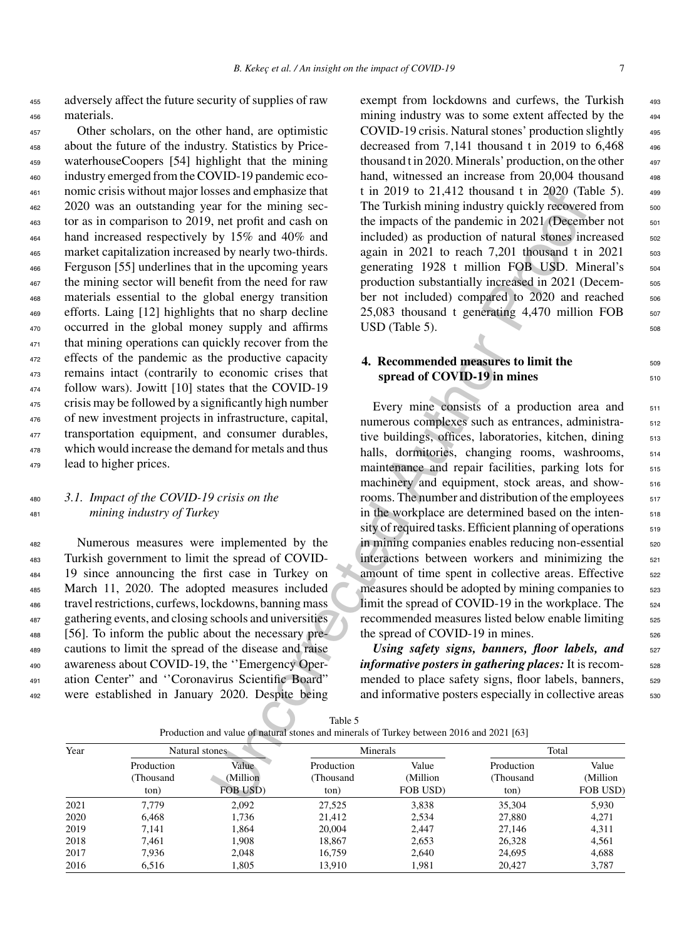<sup>455</sup> adversely affect the future security of supplies of raw <sup>456</sup> materials.

 Other scholars, on the other hand, are optimistic about the future of the industry. Statistics by Price- waterhouseCoopers [54] highlight that the mining industry emerged from the COVID-19 pandemic eco- nomic crisis without major losses and emphasize that 2020 was an outstanding year for the mining sec- tor as in comparison to 2019, net profit and cash on hand increased respectively by 15% and 40% and market capitalization increased by nearly two-thirds. Ferguson [55] underlines that in the upcoming years the mining sector will benefit from the need for raw materials essential to the global energy transition efforts. Laing [12] highlights that no sharp decline occurred in the global money supply and affirms 471 that mining operations can quickly recover from the effects of the pandemic as the productive capacity remains intact (contrarily to economic crises that follow wars). Jowitt [10] states that the COVID-19 crisis may be followed by a significantly high number of new investment projects in infrastructure, capital, 477 transportation equipment, and consumer durables, <sup>478</sup> which would increase the demand for metals and thus lead to higher prices.

#### <sup>480</sup> *3.1. Impact of the COVID-19 crisis on the* <sup>481</sup> *mining industry of Turkey*

 Numerous measures were implemented by the Turkish government to limit the spread of COVID- 19 since announcing the first case in Turkey on March 11, 2020. The adopted measures included travel restrictions, curfews, lockdowns, banning mass gathering events, and closing schools and universities [56]. To inform the public about the necessary pre- cautions to limit the spread of the disease and raise awareness about COVID-19, the ''Emergency Oper- ation Center" and ''Coronavirus Scientific Board" were established in January 2020. Despite being exempt from lockdowns and curfews, the Turkish 493 mining industry was to some extent affected by the  $494$ COVID-19 crisis. Natural stones' production slightly <sup>495</sup> decreased from 7,141 thousand t in 2019 to  $6,468$  496 thousand t in 2020. Minerals' production, on the other  $497$ hand, witnessed an increase from 20,004 thousand 498 t in 2019 to 21,412 thousand t in 2020 (Table 5).  $498$ The Turkish mining industry quickly recovered from  $500$ the impacts of the pandemic in  $2021$  (December not  $501$ included) as production of natural stones increased 502 again in  $2021$  to reach  $7,201$  thousand t in  $2021$  503 generating 1928 t million FOB USD. Mineral's 504 production substantially increased in 2021 (December not included) compared to 2020 and reached 506  $25,083$  thousand t generating  $4,470$  million FOB  $_{507}$  $\text{USD (Table 5)}$ .

## **4. Recommended measures to limit the** 509 **spread of COVID-19 in mines**  $510$

sess and emphasize that it in 2019 to 21,412 thousand t in 2020 (18 and principalize that is the main gec-<br>The Turkish mining industry quickly recovered and the impacts of the pandemic in 2021 (Descent<br>by 15% and 40% and Every mine consists of a production area and 511 numerous complexes such as entrances, administra-<br>
<sub>512</sub> tive buildings, offices, laboratories, kitchen, dining 513 halls, dormitories, changing rooms, washrooms, 514 maintenance and repair facilities, parking lots for 515 machinery and equipment, stock areas, and showrooms. The number and distribution of the employees  $\frac{517}{20}$ in the workplace are determined based on the inten-<br>518 sity of required tasks. Efficient planning of operations  $519$ in mining companies enables reducing non-essential  $\frac{520}{20}$ interactions between workers and minimizing the 521 amount of time spent in collective areas. Effective  $522$ measures should be adopted by mining companies to  $523$ limit the spread of COVID-19 in the workplace. The <sub>524</sub> recommended measures listed below enable limiting  $525$ the spread of COVID-19 in mines.  $526$ 

*Using safety signs, banners, floor labels, and* 527 *informative posters in gathering places:* It is recommended to place safety signs, floor labels, banners, <sub>529</sub> and informative posters especially in collective areas  $530$ 

|  | Production and value of natural stones and minerals of Turkey between 2016 and 2021 [63] |  |  |
|--|------------------------------------------------------------------------------------------|--|--|
|--|------------------------------------------------------------------------------------------|--|--|

| Year | Natural stones                  |                               | Minerals                        |                                | Total                           |                               |
|------|---------------------------------|-------------------------------|---------------------------------|--------------------------------|---------------------------------|-------------------------------|
|      | Production<br>(Thousand<br>ton) | Value<br>(Million<br>FOB USD) | Production<br>(Thousand<br>ton) | Value<br>(Million)<br>FOB USD) | Production<br>(Thousand<br>ton) | Value<br>(Million<br>FOB USD) |
| 2021 | 7.779                           | 2,092                         | 27,525                          | 3,838                          | 35,304                          | 5,930                         |
| 2020 | 6.468                           | 1.736                         | 21.412                          | 2,534                          | 27,880                          | 4.271                         |
| 2019 | 7.141                           | 1.864                         | 20,004                          | 2.447                          | 27.146                          | 4,311                         |
| 2018 | 7.461                           | 1.908                         | 18.867                          | 2,653                          | 26,328                          | 4,561                         |
| 2017 | 7.936                           | 2.048                         | 16.759                          | 2,640                          | 24,695                          | 4,688                         |
| 2016 | 6,516                           | 1.805                         | 13,910                          | 1,981                          | 20.427                          | 3.787                         |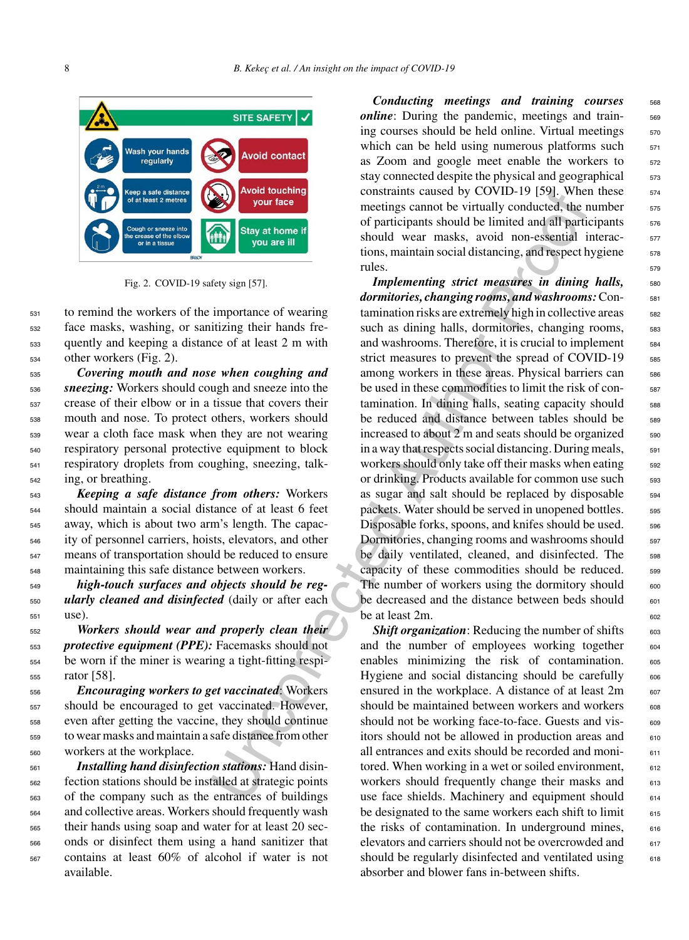

Fig. 2. COVID-19 safety sign [57].

 to remind the workers of the importance of wearing face masks, washing, or sanitizing their hands fre- quently and keeping a distance of at least 2 m with other workers (Fig. 2).

 *Covering mouth and nose when coughing and sneezing:* Workers should cough and sneeze into the crease of their elbow or in a tissue that covers their mouth and nose. To protect others, workers should wear a cloth face mask when they are not wearing respiratory personal protective equipment to block respiratory droplets from coughing, sneezing, talk-ing, or breathing.

 *Keeping a safe distance from others:* Workers should maintain a social distance of at least 6 feet away, which is about two arm's length. The capac- ity of personnel carriers, hoists, elevators, and other means of transportation should be reduced to ensure maintaining this safe distance between workers.

<sup>549</sup> *high-touch surfaces and objects should be reg-*<sup>550</sup> *ularly cleaned and disinfected* (daily or after each <sup>551</sup> use).

 *Workers should wear and properly clean their protective equipment (PPE):* Facemasks should not be worn if the miner is wearing a tight-fitting respi-rator [58].

 *Encouraging workers to get vaccinated*: Workers should be encouraged to get vaccinated. However, even after getting the vaccine, they should continue to wear masks and maintain a safe distance from other workers at the workplace.

 *Installing hand disinfection stations:* Hand disin- fection stations should be installed at strategic points of the company such as the entrances of buildings and collective areas. Workers should frequently wash their hands using soap and water for at least 20 sec- onds or disinfect them using a hand sanitizer that contains at least 60% of alcohol if water is not available.

*Conducting meetings and training courses* 568 *online*: During the pandemic, meetings and training courses should be held online. Virtual meetings  $570$ which can be held using numerous platforms such  $571$ as Zoom and google meet enable the workers to 572 stay connected despite the physical and geographical  $\frac{573}{573}$ constraints caused by COVID-19 [59]. When these  $574$ meetings cannot be virtually conducted, the number  $\frac{575}{2}$ of participants should be limited and all participants  $576$ should wear masks, avoid non-essential interac-<br>
<sub>577</sub> tions, maintain social distancing, and respect hygiene  $\frac{578}{20}$ rules.

**EXERCTS**<br> **EXERCTS** Associated the constraints caused by COVID-19 [39]. When<br>  $\frac{1}{2}$  contraints constrained and the limited and all particular<br>  $\frac{1}{2}$  contrained and particular orchitect and and the limit of partic *Implementing strict measures in dining halls,* 580 *dormitories, changing rooms, and washrooms:* Contamination risks are extremely high in collective areas <sub>582</sub> such as dining halls, dormitories, changing rooms,  $\frac{583}{2}$ and washrooms. Therefore, it is crucial to implement  $584$ strict measures to prevent the spread of COVID-19 585 among workers in these areas. Physical barriers can 586 be used in these commodities to limit the risk of contamination. In dining halls, seating capacity should 588 be reduced and distance between tables should be 589 increased to about  $2 \text{ m}$  and seats should be organized  $590$ in a way that respects social distancing. During meals,  $\frac{591}{2}$ workers should only take off their masks when eating 592 or drinking. Products available for common use such 593 as sugar and salt should be replaced by disposable  $\frac{594}{2}$ packets. Water should be served in unopened bottles. 595 Disposable forks, spoons, and knifes should be used.  $596$ Dormitories, changing rooms and washrooms should  $\frac{597}{2}$ be daily ventilated, cleaned, and disinfected. The 598 capacity of these commodities should be reduced. 599 The number of workers using the dormitory should  $\qquad 600$ be decreased and the distance between beds should  $\frac{601}{601}$ be at least  $2m$ .

**Shift organization:** Reducing the number of shifts 603 and the number of employees working together 604 enables minimizing the risk of contamination. 605 Hygiene and social distancing should be carefully  $\qquad 606$ ensured in the workplace. A distance of at least  $2m$  607 should be maintained between workers and workers 608 should not be working face-to-face. Guests and visitors should not be allowed in production areas and 610 all entrances and exits should be recorded and monitored. When working in a wet or soiled environment,  $\qquad \qquad 612$ workers should frequently change their masks and 613 use face shields. Machinery and equipment should  $614$ be designated to the same workers each shift to limit  $615$ the risks of contamination. In underground mines,  $\qquad$  616 elevators and carriers should not be overcrowded and 617 should be regularly disinfected and ventilated using 618 absorber and blower fans in-between shifts.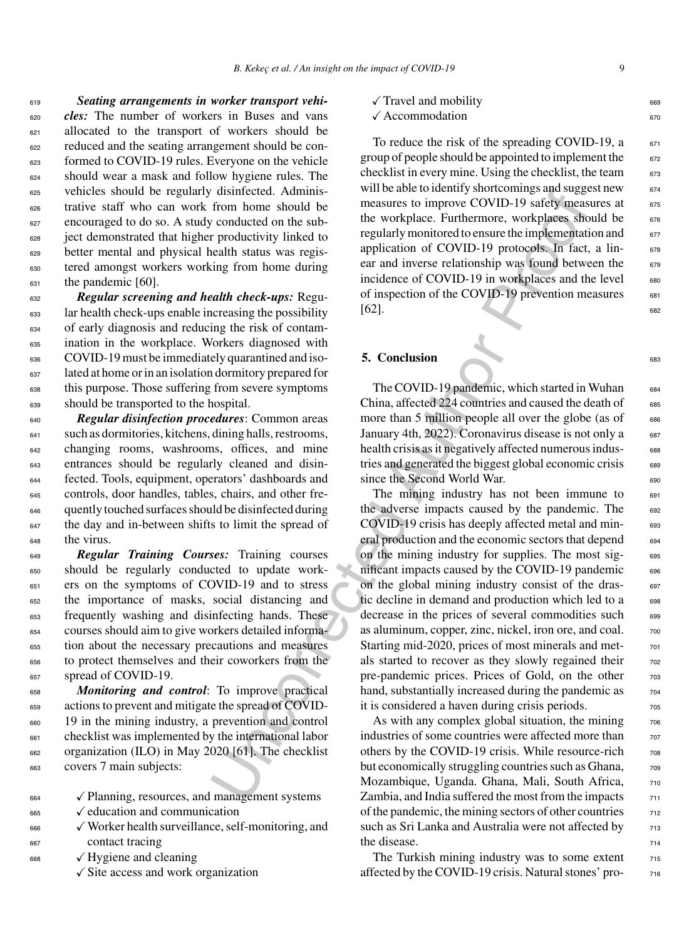*Seating arrangements in worker transport vehi- cles:* The number of workers in Buses and vans allocated to the transport of workers should be reduced and the seating arrangement should be con- formed to COVID-19 rules. Everyone on the vehicle should wear a mask and follow hygiene rules. The vehicles should be regularly disinfected. Adminis- trative staff who can work from home should be encouraged to do so. A study conducted on the sub- ject demonstrated that higher productivity linked to better mental and physical health status was regis- tered amongst workers working from home during the pandemic [60].

 *Regular screening and health check-ups:* Regu- lar health check-ups enable increasing the possibility of early diagnosis and reducing the risk of contam- ination in the workplace. Workers diagnosed with COVID-19 must be immediately quarantined and iso- lated at home or in an isolation dormitory prepared for this purpose. Those suffering from severe symptoms should be transported to the hospital.

 *Regular disinfection procedures*: Common areas such as dormitories, kitchens, dining halls, restrooms, changing rooms, washrooms, offices, and mine entrances should be regularly cleaned and disin- fected. Tools, equipment, operators' dashboards and controls, door handles, tables, chairs, and other fre- quently touched surfaces should be disinfected during <sup>647</sup> the day and in-between shifts to limit the spread of the virus.

 *Regular Training Courses:* Training courses should be regularly conducted to update work- ers on the symptoms of COVID-19 and to stress the importance of masks, social distancing and frequently washing and disinfecting hands. These courses should aim to give workers detailed informa- tion about the necessary precautions and measures to protect themselves and their coworkers from the 657 spread of COVID-19.

 *Monitoring and control*: To improve practical actions to prevent and mitigate the spread of COVID- 19 in the mining industry, a prevention and control checklist was implemented by the international labor organization (ILO) in May 2020 [61]. The checklist covers 7 main subjects:

| 664 | $\checkmark$ Planning, resources, and management systems |  |
|-----|----------------------------------------------------------|--|
|-----|----------------------------------------------------------|--|

- $665 \quad \checkmark$  education and communication
- <sup>666</sup> -Worker health surveillance, self-monitoring, and <sup>667</sup> contact tracing
- <sup>668</sup> √ Hygiene and cleaning
	- -Site access and work organization

| $\sqrt{\text{Travel}}$ and mobility | 669 |
|-------------------------------------|-----|
| $\sqrt{\text{Accommodation}}$       |     |

To reduce the risk of the spreading COVID-19,  $a \qquad 671$ group of people should be appointed to implement the 672 checklist in every mine. Using the checklist, the team 673 will be able to identify shortcomings and suggest new  $674$ measures to improve COVID-19 safety measures at 675 the workplace. Furthermore, workplaces should be 676 regularly monitored to ensure the implementation and 677 application of COVID-19 protocols. In fact, a linear and inverse relationship was found between the 679 incidence of COVID-19 in workplaces and the level  $\qquad$  680 of inspection of the COVID-19 prevention measures  $\qquad 681$ [62]. 682

#### **5. Conclusion** 683

The COVID-19 pandemic, which started in Wuhan 684 China, affected 224 countries and caused the death of 685 more than 5 million people all over the globe (as of  $\qquad$  686 January 4th, 2022). Coronavirus disease is not only a 687 health crisis as it negatively affected numerous industries and generated the biggest global economic crisis 689 since the Second World War.

distincted Adminstration we are considered and beathered at Author the measures to improve COVID-19 safely ineasures to improve COVID-19 safely ineasures is equalited to the workplace simple measure to measure to measure t The mining industry has not been immune to  $\frac{691}{691}$ the adverse impacts caused by the pandemic. The 692 COVID-19 crisis has deeply affected metal and min- 693 eral production and the economic sectors that depend 694 on the mining industry for supplies. The most sig- 695 nificant impacts caused by the COVID-19 pandemic  $\qquad$  696 on the global mining industry consist of the drastic decline in demand and production which led to a 698 decrease in the prices of several commodities such 699 as aluminum, copper, zinc, nickel, iron ore, and coal.  $700$ Starting mid-2020, prices of most minerals and metals started to recover as they slowly regained their  $\frac{702}{202}$ pre-pandemic prices. Prices of Gold, on the other 703 hand, substantially increased during the pandemic as  $\frac{704}{704}$ it is considered a haven during crisis periods.

As with any complex global situation, the mining  $\frac{706}{600}$ industries of some countries were affected more than  $707$ others by the COVID-19 crisis. While resource-rich  $\frac{708}{708}$ but economically struggling countries such as Ghana,  $\frac{708}{200}$ Mozambique, Uganda. Ghana, Mali, South Africa, 710 Zambia, and India suffered the most from the impacts  $\frac{711}{2}$ of the pandemic, the mining sectors of other countries  $\frac{712}{212}$ such as Sri Lanka and Australia were not affected by  $\qquad 713$ the disease.  $714$ 

The Turkish mining industry was to some extent  $_{715}$ affected by the COVID-19 crisis. Natural stones' pro-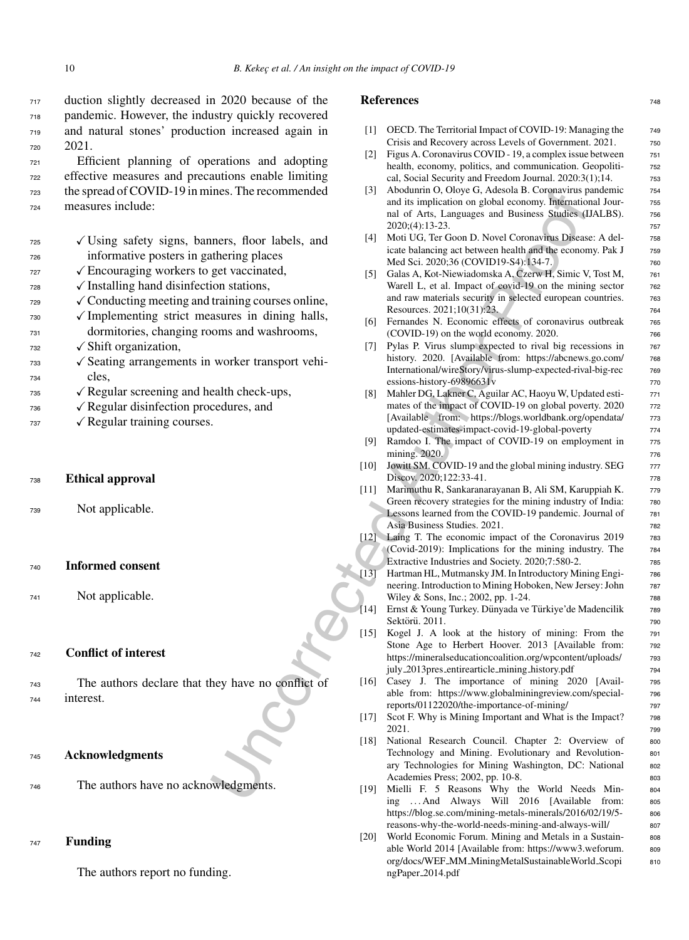duction slightly decreased in 2020 because of the pandemic. However, the industry quickly recovered and natural stones' production increased again in <sup>720</sup> 2021.

 Efficient planning of operations and adopting effective measures and precautions enable limiting the spread of COVID-19 in mines. The recommended measures include:

- $\sqrt{U}$  Using safety signs, banners, floor labels, and <sup>726</sup> informative posters in gathering places  $\sqrt{\text{Encouraging workers}}$  to get vaccinated,
- $\frac{1}{28}$   $\checkmark$  Installing hand disinfection stations,
- $\sqrt{\text{Conducting meeting}}$  and training courses online,
- $\sqrt{I}$  Implementing strict measures in dining halls, <sup>731</sup> dormitories, changing rooms and washrooms,
- $_{732}$   $\checkmark$  Shift organization,
- $\sqrt{\ }$  Seating arrangements in worker transport vehi-<sup>734</sup> cles,
- $\sqrt{\text{Regular screening}}$  and health check-ups,
- $736 \qquad \qquad \sqrt{\text{Regular disinfection procedures, and}}$
- $737 \quad \sqrt{\text{Regular training courses}}$ .
- <sup>738</sup> **Ethical approval**
- <sup>739</sup> Not applicable.

<sup>740</sup> **Informed consent**

<sup>741</sup> Not applicable.

#### <sup>742</sup> **Conflict of interest**

<sup>743</sup> The authors declare that they have no conflict of <sup>744</sup> interest.

#### <sup>745</sup> **Acknowledgments**

<sup>746</sup> The authors have no acknowledgments.

#### <sup>747</sup> **Funding**

The authors report no funding.

#### **References** 748

- [1] OECD. The Territorial Impact of COVID-19: Managing the 749 Crisis and Recovery across Levels of Government. 2021. 750
- [2] Figus A. Coronavirus COVID 19, a complex issue between  $\frac{751}{751}$ health, economy, politics, and communication. Geopolitical, Social Security and Freedom Journal. 2020:3(1);14. <sup>753</sup>
- [3] Abodunrin O, Oloye G, Adesola B. Coronavirus pandemic  $\frac{754}{60}$ and its implication on global economy. International Jour- <sup>755</sup> nal of Arts, Languages and Business Studies (IJALBS). 756 2020;(4):13-23. <sup>757</sup>
- [4] Moti UG, Ter Goon D. Novel Coronavirus Disease: A del- 758 icate balancing act between health and the economy. Pak J 759 Med Sci. 2020;36 (COVID19-S4):134-7.
- [5] Galas A, Kot-Niewiadomska A, Czerw H, Simic V, Tost M,  $\frac{}{761}$ Warell L, et al. Impact of covid-19 on the mining sector 762 and raw materials security in selected european countries.  $\frac{763}{60}$ Resources. 2021;10(31):23. 764
- [6] Fernandes N. Economic effects of coronavirus outbreak 765 (COVID-19) on the world economy. 2020.
- [7] Pylas P. Virus slump expected to rival big recessions in 767 history. 2020. [Available from: [https://abcnews.go.com/](https://abcnews.go.com/International/wireStory/virus-slump-expected-rival-big-recessions-history-69896631v) 768 International/wireStory/virus-slump-expected-rival-big-rec 769  $\frac{1}{770}$  essions-history-69896631v
- [8] Mahler DG, Lakner C, Aguilar AC, Haoyu W, Updated esti- 771 mates of the impact of COVID-19 on global poverty. 2020  $\qquad \qquad$  772 [Available from: [https://blogs.worldbank.org/opendata/](https://blogs.worldbank.org/opendata/updated-estimates-impact-covid-19-global-poverty) 773 updated-estimates-impact-covid-19-global-poverty <sup>774</sup>
- [9] Ramdoo I. The impact of COVID-19 on employment in 775 mining. 2020. The matrix of the state of the state of the state of the state of the state of the state of the state of the state of the state of the state of the state of the state of the state of the state of the state of
- [10] Jowitt SM. COVID-19 and the global mining industry. SEG  $\frac{777}{20}$ Discov. 2020;122:33-41. 778
- [11] Marimuthu R, Sankaranarayanan B, Ali SM, Karuppiah K. 779 Green recovery strategies for the mining industry of India: 780 Lessons learned from the COVID-19 pandemic. Journal of 781 Asia Business Studies. 2021. 782
- [12] Laing T. The economic impact of the Coronavirus 2019 783 (Covid-2019): Implications for the mining industry. The <sup>784</sup> Extractive Industries and Society. 2020;7:580-2. 785
- Hartman HL, Mutmansky JM. In Introductory Mining Engi- 786 neering. Introduction to Mining Hoboken, New Jersey: John 787 Wiley & Sons, Inc.; 2002, pp. 1-24.
- Ernst & Young Turkey. Dünyada ve Türkiye'de Madencilik 789  $Sektörii. 2011.$   $790$
- [15] Kogel J. A look at the history of mining: From the 791 Stone Age to Herbert Hoover. 2013 [Available from: 792 [https://mineralseducationcoalition.org/wpcontent/uploads/](https://mineralseducationcoalition.org/wpcontent/uploads/july_2013pres_entirearticle_mining_history.pdf) <sup>793</sup> july 2013pres entirearticle mining history.pdf <sup>794</sup>
- [16] Casey J. The importance of mining 2020 [Avail- <sup>795</sup> able from: [https://www.globalminingreview.com/special-](https://www.globalminingreview.com/special-reports/01122020/the-importance-of-mining/) <sup>796</sup> reports/01122020/the-importance-of-mining/ <sup>797</sup>
- [17] Scot F. Why is Mining Important and What is the Impact? 798 2021. 799
- the recommended<br>
134 Absolution (1,000) etc. Assets and the interaction of the control of Author Constants and the interaction of Model Commonwing Disease<br>
the right of Author Line (Author Proof Author Shuttle control and [18] National Research Council. Chapter 2: Overview of 800 Technology and Mining. Evolutionary and Revolution-<br>801 ary Technologies for Mining Washington, DC: National 802 Academies Press; 2002, pp. 10-8. 803
	- [19] Mielli F. 5 Reasons Why the World Needs Min- <sup>804</sup> ing . . . And Always Will 2016 [Available from: <sup>805</sup> [https://blog.se.com/mining-metals-minerals/2016/02/19/5-](https://blog.se.com/mining-metals-minerals/2016/02/19/5-reasons-why-the-world-needs-mining-and-always-will/) 806 reasons-why-the-world-needs-mining-and-always-will/ <sup>807</sup>
	- [20] World Economic Forum. Mining and Metals in a Sustainable World 2014 [Available from: [https://www3.weforum.](https://www3.weforum.org/docs/WEF_MM_MiningMetalSustainableWorld_ScopingPaper_2014.pdf) 809 org/docs/WEF\_MM\_MiningMetalSustainableWorld\_Scopi 810 ngPaper 2014.pdf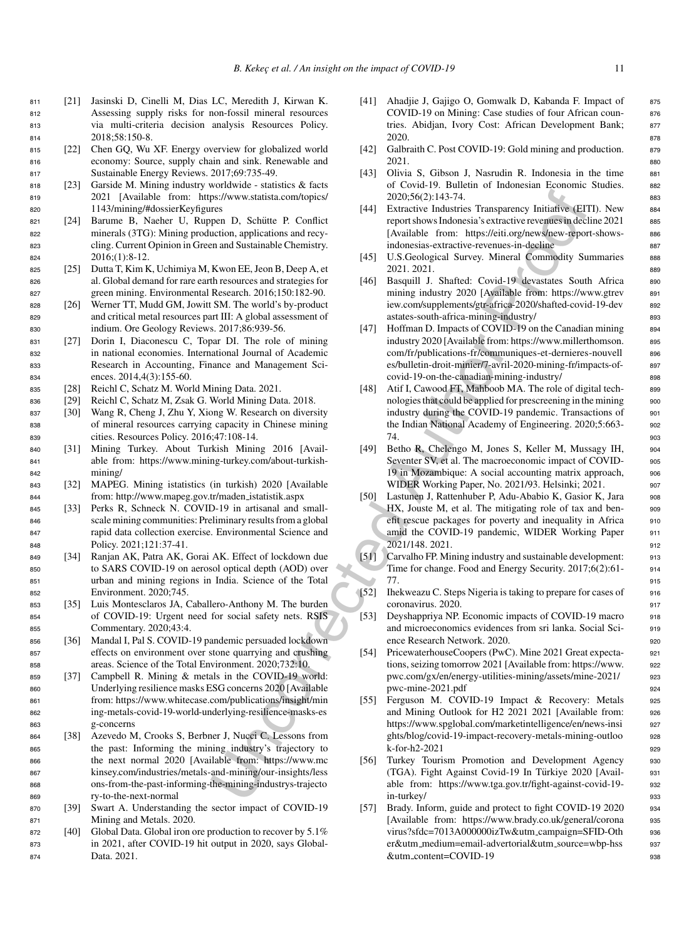- <sup>811</sup> [21] Jasinski D, Cinelli M, Dias LC, Meredith J, Kirwan K. <sup>812</sup> Assessing supply risks for non-fossil mineral resources <sup>813</sup> via multi-criteria decision analysis Resources Policy. <sup>814</sup> 2018;58:150-8.
- <sup>815</sup> [22] Chen GQ, Wu XF. Energy overview for globalized world <sup>816</sup> economy: Source, supply chain and sink. Renewable and <sup>817</sup> Sustainable Energy Reviews. 2017;69:735-49.
- <sup>818</sup> [23] Garside M. Mining industry worldwide statistics & facts <sup>819</sup> 2021 [Available from: https://www.statista.com/topics/ <sup>820</sup> 1143/mining/#dossierKeyfigures
- 821 [24] Barume B, Naeher U, Ruppen D, Schütte P. Conflict <sup>822</sup> minerals (3TG): Mining production, applications and recy-<sup>823</sup> cling. Current Opinion in Green and Sustainable Chemistry. <sup>824</sup> 2016;(1):8-12.
- <sup>825</sup> [25] Dutta T, Kim K, Uchimiya M, Kwon EE, Jeon B, Deep A, et <sup>826</sup> al. Global demand for rare earth resources and strategies for <sup>827</sup> green mining. Environmental Research. 2016;150:182-90.
- <sup>828</sup> [26] Werner TT, Mudd GM, Jowitt SM. The world's by-product <sup>829</sup> and critical metal resources part III: A global assessment of <sup>830</sup> indium. Ore Geology Reviews. 2017;86:939-56.
- <sup>831</sup> [27] Dorin I, Diaconescu C, Topar DI. The role of mining <sup>832</sup> in national economies. International Journal of Academic <sup>833</sup> Research in Accounting, Finance and Management Sci-<sup>834</sup> ences. 2014,4(3):155-60.
- <sup>835</sup> [28] Reichl C, Schatz M. World Mining Data. 2021.
- <sup>836</sup> [29] Reichl C, Schatz M, Zsak G. World Mining Data. 2018.
- <sup>837</sup> [30] Wang R, Cheng J, Zhu Y, Xiong W. Research on diversity <sup>838</sup> of mineral resources carrying capacity in Chinese mining <sup>839</sup> cities. Resources Policy. 2016;47:108-14.
- <sup>840</sup> [31] Mining Turkey. About Turkish Mining 2016 [Avail-<sup>841</sup> able from: [https://www.mining-turkey.com/about-turkish-](https://www.mining-turkey.com/about-turkish-mining/)<sup>842</sup> mining/
- <sup>843</sup> [32] MAPEG. Mining istatistics (in turkish) 2020 [Available <sup>844</sup> from: [http://www.mapeg.gov.tr/maden](http://www.mapeg.gov.tr/maden_istatistik.aspx) istatistik.aspx
- <sup>845</sup> [33] Perks R, Schneck N. COVID-19 in artisanal and small-<sup>846</sup> scale mining communities: Preliminary results from a global <sup>847</sup> rapid data collection exercise. Environmental Science and <sup>848</sup> Policy. 2021;121:37-41.
- <sup>849</sup> [34] Ranjan AK, Patra AK, Gorai AK. Effect of lockdown due <sup>850</sup> to SARS COVID-19 on aerosol optical depth (AOD) over <sup>851</sup> urban and mining regions in India. Science of the Total <sup>852</sup> Environment. 2020;745.
- <sup>853</sup> [35] Luis Montesclaros JA, Caballero-Anthony M. The burden <sup>854</sup> of COVID-19: Urgent need for social safety nets. RSIS <sup>855</sup> Commentary. 2020;43:4.
- <sup>856</sup> [36] Mandal I, Pal S. COVID-19 pandemic persuaded lockdown <sup>857</sup> effects on environment over stone quarrying and crushing <sup>858</sup> areas. Science of the Total Environment. 2020;732:10.
- <sup>859</sup> [37] Campbell R. Mining & metals in the COVID-19 world: <sup>860</sup> Underlying resilience masks ESG concerns 2020 [Available <sup>861</sup> from: https://www.whitecase.com/publications/insight/min <sup>862</sup> ing-metals-covid-19-world-underlying-resilience-masks-es <sup>863</sup> g-concerns
- <sup>864</sup> [38] Azevedo M, Crooks S, Berbner J, Nucci C. Lessons from <sup>865</sup> the past: Informing the mining industry's trajectory to <sup>866</sup> the next normal 2020 [Available from: https://www.mc <sup>867</sup> kinsey.com/industries/metals-and-mining/our-insights/less <sup>868</sup> ons-from-the-past-informing-the-mining-industrys-trajecto <sup>869</sup> ry-to-the-next-normal
- <sup>870</sup> [39] Swart A. Understanding the sector impact of COVID-19 <sup>871</sup> Mining and Metals. 2020.
- 872 [40] Global Data. Global iron ore production to recover by 5.1% <sup>873</sup> in 2021, after COVID-19 hit output in 2020, says Global-<sup>874</sup> Data. 2021.
- [41] Ahadjie J, Gajigo O, Gomwalk D, Kabanda F. Impact of 875 COVID-19 on Mining: Case studies of four African coun- <sup>876</sup> tries. Abidjan, Ivory Cost: African Development Bank; 877 2020. 878
- [42] Galbraith C. Post COVID-19: Gold mining and production. 879  $2021.$  880
- [43] Olivia S, Gibson J, Nasrudin R. Indonesia in the time 881 of Covid-19. Bulletin of Indonesian Economic Studies. <sup>882</sup> 2020;56(2):143-74. <sup>883</sup>
- [44] Extractive Industries Transparency Initiative (EITI). New 884 report shows Indonesia's extractive revenues in decline 2021 885 [Available from: [https://eiti.org/news/new-report-shows-](https://eiti.org/news/new-report-shows-indonesias-extractive-revenues-in-decline) 886 indonesias-extractive-revenues-in-decline 887
- [45] U.S.Geological Survey. Mineral Commodity Summaries 888 2021. 2021. <sup>889</sup>
- [46] Basquill J. Shafted: Covid-19 devastates South Africa 890 mining industry 2020 [Available from: [https://www.gtrev](https://www.gtreview.com/supplements/gtr-africa-2020/shafted-covid-19-devastates-south-africa-mining-industry/) 891 iew.com/supplements/gtr-africa-2020/shafted-covid-19-dev 892 astates-south-africa-mining-industry/ 893
- Section (and the [co](https://www.whitecase.com/publications/insight/mining-metals-covid-19-world-underlying-resilience-masks-esg-concerns)ntrol of the material confusional content and the content of the material content and experiment and experiment and experiment and the section of the section content and the section of the section of th [47] Hoffman D. Impacts of COVID-19 on the Canadian mining 894 industry 2020 [Available from: [https://www.millerthomson.](https://www.millerthomson.com/fr/publications-fr/communiques-et-dernieres-nouvelles/bulletin-droit-minier/7-avril-2020-mining-fr/impacts-of-covid-19-on-the-canadian-mining-industry/) 895 com/fr/publications-fr/communiques-et-dernieres-nouvell 896 es/bulletin-droit-minier/7-avril-2020-mining-fr/impacts-of- <sup>897</sup> covid-19-on-the-canadian-mining-industry/ 898
	- [48] Atif I, Cawood FT, Mahboob MA. The role of digital tech- 899 nologies that could be applied for prescreening in the mining 900 industry during the COVID-19 pandemic. Transactions of 901 the Indian National Academy of Engineering. 2020;5:663- <sup>902</sup> ли в 1903 году в 1903 году в 1903 году в 1903 году в 1903 году в 1903 году в 1903 году в 1903 году в 1903 году
	- [49] Betho R, Chelengo M, Jones S, Keller M, Mussagy IH, 904 Seventer SV, et al. The macroeconomic impact of COVID- 905 19 in Mozambique: A social accounting matrix approach, 906 WIDER Working Paper, No. 2021/93. Helsinki; 2021. 907
	- [50] Lastunen J, Rattenhuber P, Adu-Ababio K, Gasior K, Jara <sup>908</sup> HX, Jouste M, et al. The mitigating role of tax and benefit rescue packages for poverty and inequality in Africa 910 amid the COVID-19 pandemic, WIDER Working Paper 911 2021/148. 2021. <sup>912</sup>
	- [51] Carvalho FP. Mining industry and sustainable development: 913 Time for change. Food and Energy Security. 2017;6(2):61- <sup>914</sup>  $77.$  915
	- [52] Ihekweazu C. Steps Nigeria is taking to prepare for cases of <sup>916</sup> coronavirus. 2020. 917
	- [53] Deyshappriya NP. Economic impacts of COVID-19 macro 918 and microeconomics evidences from sri lanka. Social Sci- <sup>919</sup> ence Research Network. 2020. 920
	- [54] PricewaterhouseCoopers (PwC). Mine 2021 Great expecta- <sup>921</sup> tions, seizing tomorrow 2021 [Available from: [https://www.](https://www.pwc.com/gx/en/energy-utilities-mining/assets/mine-2021/pwc-mine-2021.pdf) <sup>922</sup> pwc.com/gx/en/energy-utilities-mining/assets/mine-2021/ <sup>923</sup> pwc-mine-2021.pdf 924
	- [55] Ferguson M. COVID-19 Impact & Recovery: Metals 925 and Mining Outlook for H2 2021 2021 [Available from: <sup>926</sup> [https://www.spglobal.com/marketintelligence/en/news-insi](https://www.spglobal.com/marketintelligence/en/news-insights/blog/covid-19-impact-recovery-metals-mining-outlook-for-h2-2021) <sup>927</sup> ghts/blog/covid-19-impact-recovery-metals-mining-outloo 928  $k$ -for-h2-2021 929
	- [56] Turkey Tourism Promotion and Development Agency 930 (TGA). Fight Against Covid-19 In Turkiye 2020 [Avail- ¨ <sup>931</sup> able from: [https://www.tga.gov.tr/fight-against-covid-19-](https://www.tga.gov.tr/fight-against-covid-19-in-turkey/) 932 in-turkey/ 933
	- [57] Brady. Inform, guide and protect to fight COVID-19 2020 934 [Available from: [https://www.brady.co.uk/general/corona](https://www.brady.co.uk/general/coronavirus?sfdc=7013A000000izTw&utm_campaign=SFID-Other&utm_medium=email-advertorial&utm_source=wbp-hss&utm_content=COVID-19) 935 virus?sfdc=7013A000000izTw&utm\_campaign=SFID-Oth 936 er&utm medium=email-advertorial&utm source=wbp-hss <sup>937</sup>  $\&$ utm content=COVID-19  $\&$